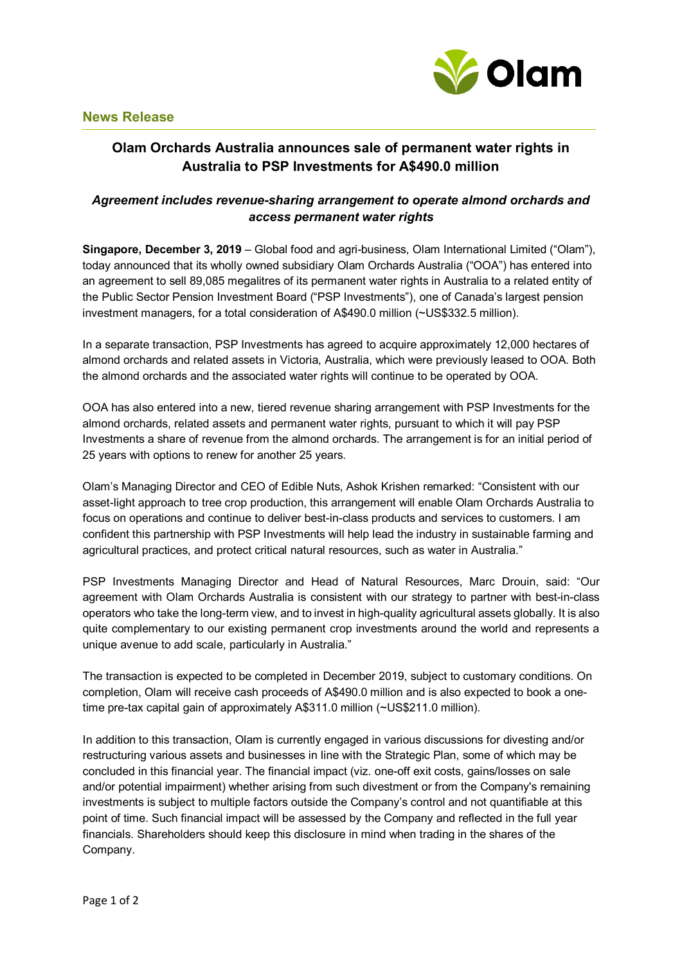

## **Olam Orchards Australia announces sale of permanent water rights in Australia to PSP Investments for A\$490.0 million**

## *Agreement includes revenue-sharing arrangement to operate almond orchards and access permanent water rights*

**Singapore, December 3, 2019** – Global food and agri-business, Olam International Limited ("Olam"), today announced that its wholly owned subsidiary Olam Orchards Australia ("OOA") has entered into an agreement to sell 89,085 megalitres of its permanent water rights in Australia to a related entity of the Public Sector Pension Investment Board ("PSP Investments"), one of Canada's largest pension investment managers, for a total consideration of A\$490.0 million (~US\$332.5 million).

In a separate transaction, PSP Investments has agreed to acquire approximately 12,000 hectares of almond orchards and related assets in Victoria, Australia, which were previously leased to OOA. Both the almond orchards and the associated water rights will continue to be operated by OOA.

OOA has also entered into a new, tiered revenue sharing arrangement with PSP Investments for the almond orchards, related assets and permanent water rights, pursuant to which it will pay PSP Investments a share of revenue from the almond orchards. The arrangement is for an initial period of 25 years with options to renew for another 25 years.

Olam's Managing Director and CEO of Edible Nuts, Ashok Krishen remarked: "Consistent with our asset-light approach to tree crop production, this arrangement will enable Olam Orchards Australia to focus on operations and continue to deliver best-in-class products and services to customers. I am confident this partnership with PSP Investments will help lead the industry in sustainable farming and agricultural practices, and protect critical natural resources, such as water in Australia."

PSP Investments Managing Director and Head of Natural Resources, Marc Drouin, said: "Our agreement with Olam Orchards Australia is consistent with our strategy to partner with best-in-class operators who take the long-term view, and to invest in high-quality agricultural assets globally. It is also quite complementary to our existing permanent crop investments around the world and represents a unique avenue to add scale, particularly in Australia."

The transaction is expected to be completed in December 2019, subject to customary conditions. On completion, Olam will receive cash proceeds of A\$490.0 million and is also expected to book a onetime pre-tax capital gain of approximately A\$311.0 million (~US\$211.0 million).

In addition to this transaction, Olam is currently engaged in various discussions for divesting and/or restructuring various assets and businesses in line with the Strategic Plan, some of which may be concluded in this financial year. The financial impact (viz. one-off exit costs, gains/losses on sale and/or potential impairment) whether arising from such divestment or from the Company's remaining investments is subject to multiple factors outside the Company's control and not quantifiable at this point of time. Such financial impact will be assessed by the Company and reflected in the full year financials. Shareholders should keep this disclosure in mind when trading in the shares of the Company.